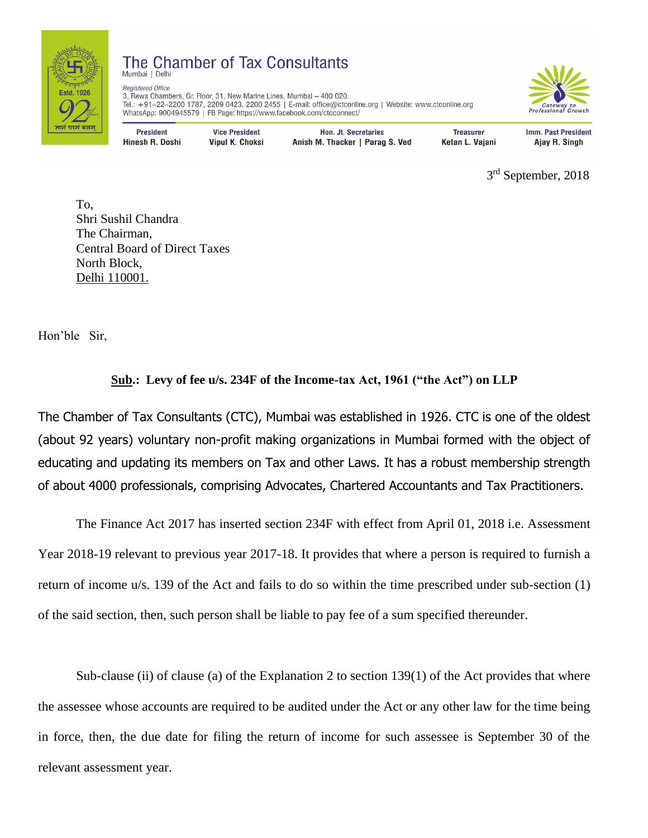

## The Chamber of Tax Consultants Mumbai | Delh

**Registered Office** 3. Rewa Chambers, Gr. Floor, 31, New Marine Lines, Mumbai - 400 020. Tel.: +91–22–2200 1787, 2209 0423, 2200 2455 | E-mail: office@ctconline.org | Website: www.ctconline.org WhatsApp: 9004945579 | FB Page: https://www.facebook.com/ctcconnect/



**President** Hinesh R. Doshi

**Vice President** Vipul K. Choksi

Hon. Jt. Secretaries Anish M. Thacker | Parag S. Ved

**Treasurer** Ketan L. Vajani Imm. Past President Ajay R. Singh

 3  $3<sup>rd</sup>$  September, 2018

 To, Shri Sushil Chandra The Chairman, Central Board of Direct Taxes North Block, Delhi 110001.

Hon'ble Sir,

## **Sub.: Levy of fee u/s. 234F of the Income-tax Act, 1961 ("the Act") on LLP**

The Chamber of Tax Consultants (CTC), Mumbai was established in 1926. CTC is one of the oldest (about 92 years) voluntary non-profit making organizations in Mumbai formed with the object of educating and updating its members on Tax and other Laws. It has a robust membership strength of about 4000 professionals, comprising Advocates, Chartered Accountants and Tax Practitioners.

The Finance Act 2017 has inserted section 234F with effect from April 01, 2018 i.e. Assessment Year 2018-19 relevant to previous year 2017-18. It provides that where a person is required to furnish a return of income u/s. 139 of the Act and fails to do so within the time prescribed under sub-section (1) of the said section, then, such person shall be liable to pay fee of a sum specified thereunder.

Sub-clause (ii) of clause (a) of the Explanation 2 to section  $139(1)$  of the Act provides that where the assessee whose accounts are required to be audited under the Act or any other law for the time being in force, then, the due date for filing the return of income for such assessee is September 30 of the relevant assessment year.